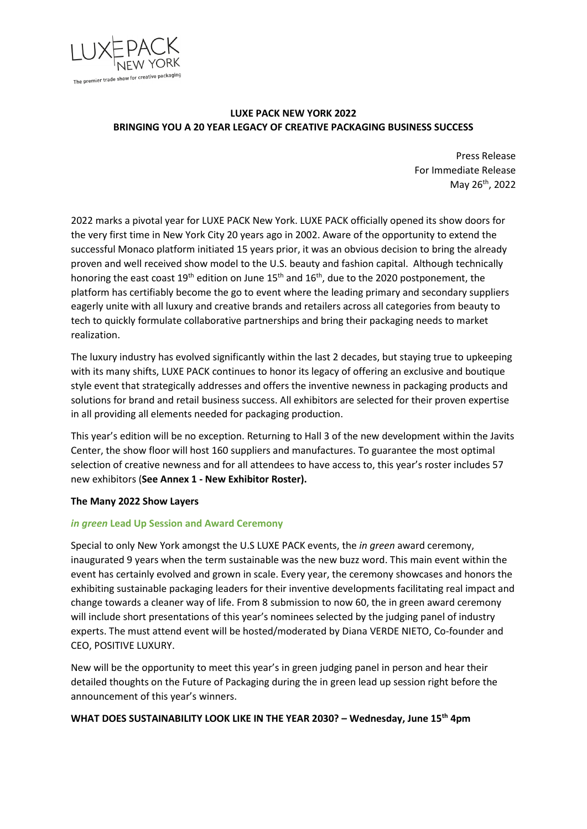

# **LUXE PACK NEW YORK 2022 BRINGING YOU A 20 YEAR LEGACY OF CREATIVE PACKAGING BUSINESS SUCCESS**

Press Release For Immediate Release May 26th, 2022

2022 marks a pivotal year for LUXE PACK New York. LUXE PACK officially opened its show doors for the very first time in New York City 20 years ago in 2002. Aware of the opportunity to extend the successful Monaco platform initiated 15 years prior, it was an obvious decision to bring the already proven and well received show model to the U.S. beauty and fashion capital. Although technically honoring the east coast  $19<sup>th</sup>$  edition on June  $15<sup>th</sup>$  and  $16<sup>th</sup>$ , due to the 2020 postponement, the platform has certifiably become the go to event where the leading primary and secondary suppliers eagerly unite with all luxury and creative brands and retailers across all categories from beauty to tech to quickly formulate collaborative partnerships and bring their packaging needs to market realization.

The luxury industry has evolved significantly within the last 2 decades, but staying true to upkeeping with its many shifts, LUXE PACK continues to honor its legacy of offering an exclusive and boutique style event that strategically addresses and offers the inventive newness in packaging products and solutions for brand and retail business success. All exhibitors are selected for their proven expertise in all providing all elements needed for packaging production.

This year's edition will be no exception. Returning to Hall 3 of the new development within the Javits Center, the show floor will host 160 suppliers and manufactures. To guarantee the most optimal selection of creative newness and for all attendees to have access to, this year's roster includes 57 new exhibitors (**See Annex 1 - New Exhibitor Roster).**

### **The Many 2022 Show Layers**

### *in green* **Lead Up Session and Award Ceremony**

Special to only New York amongst the U.S LUXE PACK events, the *in green* award ceremony, inaugurated 9 years when the term sustainable was the new buzz word. This main event within the event has certainly evolved and grown in scale. Every year, the ceremony showcases and honors the exhibiting sustainable packaging leaders for their inventive developments facilitating real impact and change towards a cleaner way of life. From 8 submission to now 60, the in green award ceremony will include short presentations of this year's nominees selected by the judging panel of industry experts. The must attend event will be hosted/moderated by Diana VERDE NIETO, Co-founder and CEO, POSITIVE LUXURY.

New will be the opportunity to meet this year's in green judging panel in person and hear their detailed thoughts on the Future of Packaging during the in green lead up session right before the announcement of this year's winners.

### **WHAT DOES SUSTAINABILITY LOOK LIKE IN THE YEAR 2030? – Wednesday, June 15th 4pm**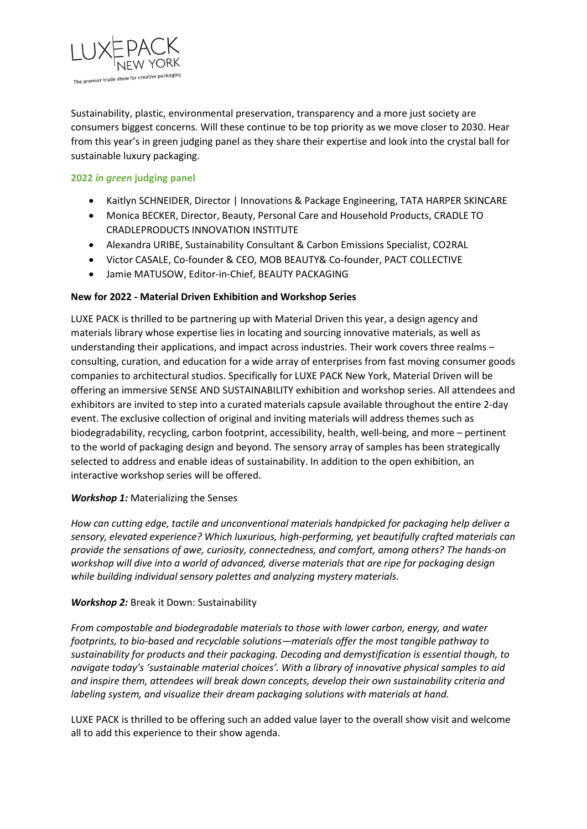

Sustainability, plastic, environmental preservation, transparency and a more just society are consumers biggest concerns. Will these continue to be top priority as we move closer to 2030. Hear from this year's in green judging panel as they share their expertise and look into the crystal ball for sustainable luxury packaging.

## **2022** *in green* **judging panel**

- Kaitlyn SCHNEIDER, Director | Innovations & Package Engineering, TATA HARPER SKINCARE
- Monica BECKER, Director, Beauty, Personal Care and Household Products, CRADLE TO CRADLEPRODUCTS INNOVATION INSTITUTE
- Alexandra URIBE, Sustainability Consultant & Carbon Emissions Specialist, CO2RAL
- Victor CASALE, Co-founder & CEO, MOB BEAUTY& Co-founder, PACT COLLECTIVE
- Jamie MATUSOW, Editor-in-Chief, BEAUTY PACKAGING

## **New for 2022 - Material Driven Exhibition and Workshop Series**

LUXE PACK is thrilled to be partnering up with Material Driven this year, a design agency and materials library whose expertise lies in locating and sourcing innovative materials, as well as understanding their applications, and impact across industries. Their work covers three realms – consulting, curation, and education for a wide array of enterprises from fast moving consumer goods companies to architectural studios. Specifically for LUXE PACK New York, Material Driven will be offering an immersive SENSE AND SUSTAINABILITY exhibition and workshop series. All attendees and exhibitors are invited to step into a curated materials capsule available throughout the entire 2-day event. The exclusive collection of original and inviting materials will address themes such as biodegradability, recycling, carbon footprint, accessibility, health, well-being, and more – pertinent to the world of packaging design and beyond. The sensory array of samples has been strategically selected to address and enable ideas of sustainability. In addition to the open exhibition, an interactive workshop series will be offered.

### *Workshop 1:* Materializing the Senses

*How can cutting edge, tactile and unconventional materials handpicked for packaging help deliver a sensory, elevated experience? Which luxurious, high-performing, yet beautifully crafted materials can provide the sensations of awe, curiosity, connectedness, and comfort, among others? The hands-on workshop will dive into a world of advanced, diverse materials that are ripe for packaging design while building individual sensory palettes and analyzing mystery materials.*

### *Workshop 2:* Break it Down: Sustainability

*From compostable and biodegradable materials to those with lower carbon, energy, and water footprints, to bio-based and recyclable solutions—materials offer the most tangible pathway to sustainability for products and their packaging. Decoding and demystification is essential though, to navigate today's 'sustainable material choices'. With a library of innovative physical samples to aid and inspire them, attendees will break down concepts, develop their own sustainability criteria and labeling system, and visualize their dream packaging solutions with materials at hand.*

LUXE PACK is thrilled to be offering such an added value layer to the overall show visit and welcome all to add this experience to their show agenda.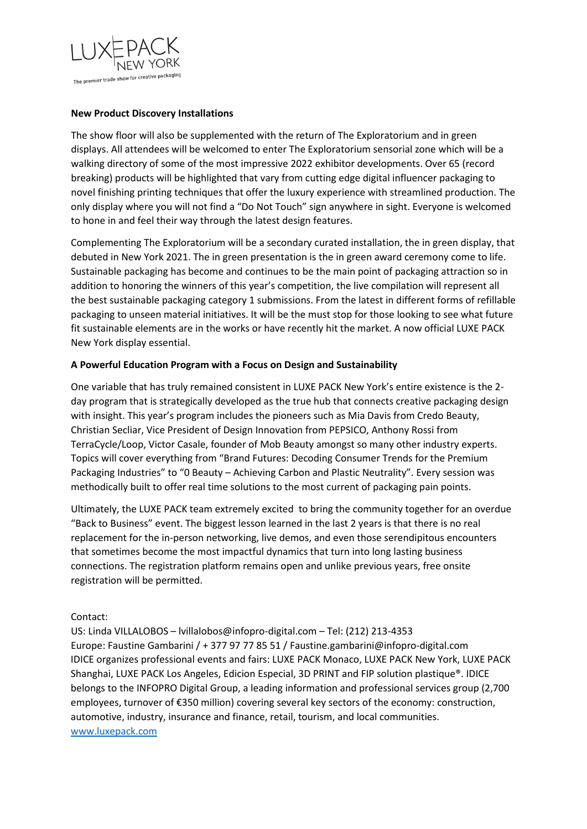

## **New Product Discovery Installations**

The show floor will also be supplemented with the return of The Exploratorium and in green displays. All attendees will be welcomed to enter The Exploratorium sensorial zone which will be a walking directory of some of the most impressive 2022 exhibitor developments. Over 65 (record breaking) products will be highlighted that vary from cutting edge digital influencer packaging to novel finishing printing techniques that offer the luxury experience with streamlined production. The only display where you will not find a "Do Not Touch" sign anywhere in sight. Everyone is welcomed to hone in and feel their way through the latest design features.

Complementing The Exploratorium will be a secondary curated installation, the in green display, that debuted in New York 2021. The in green presentation is the in green award ceremony come to life. Sustainable packaging has become and continues to be the main point of packaging attraction so in addition to honoring the winners of this year's competition, the live compilation will represent all the best sustainable packaging category 1 submissions. From the latest in different forms of refillable packaging to unseen material initiatives. It will be the must stop for those looking to see what future fit sustainable elements are in the works or have recently hit the market. A now official LUXE PACK New York display essential.

## **A Powerful Education Program with a Focus on Design and Sustainability**

One variable that has truly remained consistent in LUXE PACK New York's entire existence is the 2 day program that is strategically developed as the true hub that connects creative packaging design with insight. This year's program includes the pioneers such as Mia Davis from Credo Beauty, Christian Secliar, Vice President of Design Innovation from PEPSICO, Anthony Rossi from TerraCycle/Loop, Victor Casale, founder of Mob Beauty amongst so many other industry experts. Topics will cover everything from "Brand Futures: Decoding Consumer Trends for the Premium Packaging Industries" to "0 Beauty – Achieving Carbon and Plastic Neutrality". Every session was methodically built to offer real time solutions to the most current of packaging pain points.

Ultimately, the LUXE PACK team extremely excited to bring the community together for an overdue "Back to Business" event. The biggest lesson learned in the last 2 years is that there is no real replacement for the in-person networking, live demos, and even those serendipitous encounters that sometimes become the most impactful dynamics that turn into long lasting business connections. The registration platform remains open and unlike previous years, free onsite registration will be permitted.

Contact:

US: Linda VILLALOBOS – lvillalobos@infopro-digital.com – Tel: (212) 213-4353 Europe: Faustine Gambarini / + 377 97 77 85 51 / Faustine.gambarini@infopro-digital.com IDICE organizes professional events and fairs: LUXE PACK Monaco, LUXE PACK New York, LUXE PACK Shanghai, LUXE PACK Los Angeles, Edicion Especial, 3D PRINT and FIP solution plastique®. IDICE belongs to the INFOPRO Digital Group, a leading information and professional services group (2,700 employees, turnover of €350 million) covering several key sectors of the economy: construction, automotive, industry, insurance and finance, retail, tourism, and local communities. [www.luxepack.com](http://www.luxepack.com/)